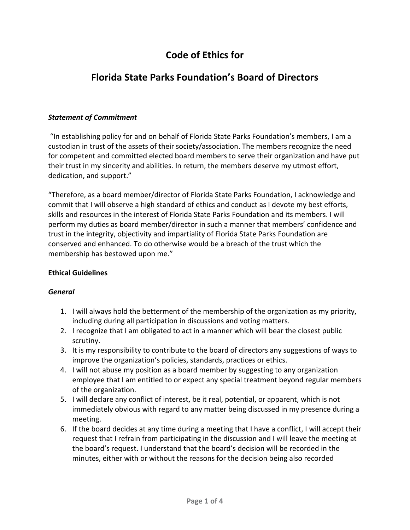# **Code of Ethics for**

## **Florida State Parks Foundation's Board of Directors**

### *Statement of Commitment*

"In establishing policy for and on behalf of Florida State Parks Foundation's members, I am a custodian in trust of the assets of their society/association. The members recognize the need for competent and committed elected board members to serve their organization and have put their trust in my sincerity and abilities. In return, the members deserve my utmost effort, dedication, and support."

"Therefore, as a board member/director of Florida State Parks Foundation, I acknowledge and commit that I will observe a high standard of ethics and conduct as I devote my best efforts, skills and resources in the interest of Florida State Parks Foundation and its members. I will perform my duties as board member/director in such a manner that members' confidence and trust in the integrity, objectivity and impartiality of Florida State Parks Foundation are conserved and enhanced. To do otherwise would be a breach of the trust which the membership has bestowed upon me."

### **Ethical Guidelines**

### *General*

- 1. I will always hold the betterment of the membership of the organization as my priority, including during all participation in discussions and voting matters.
- 2. I recognize that I am obligated to act in a manner which will bear the closest public scrutiny.
- 3. It is my responsibility to contribute to the board of directors any suggestions of ways to improve the organization's policies, standards, practices or ethics.
- 4. I will not abuse my position as a board member by suggesting to any organization employee that I am entitled to or expect any special treatment beyond regular members of the organization.
- 5. I will declare any conflict of interest, be it real, potential, or apparent, which is not immediately obvious with regard to any matter being discussed in my presence during a meeting.
- 6. If the board decides at any time during a meeting that I have a conflict, I will accept their request that I refrain from participating in the discussion and I will leave the meeting at the board's request. I understand that the board's decision will be recorded in the minutes, either with or without the reasons for the decision being also recorded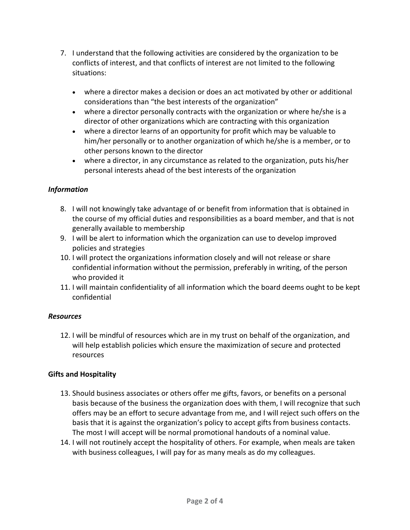- 7. I understand that the following activities are considered by the organization to be conflicts of interest, and that conflicts of interest are not limited to the following situations:
	- where a director makes a decision or does an act motivated by other or additional considerations than "the best interests of the organization"
	- where a director personally contracts with the organization or where he/she is a director of other organizations which are contracting with this organization
	- where a director learns of an opportunity for profit which may be valuable to him/her personally or to another organization of which he/she is a member, or to other persons known to the director
	- where a director, in any circumstance as related to the organization, puts his/her personal interests ahead of the best interests of the organization

## *Information*

- 8. I will not knowingly take advantage of or benefit from information that is obtained in the course of my official duties and responsibilities as a board member, and that is not generally available to membership
- 9. I will be alert to information which the organization can use to develop improved policies and strategies
- 10. I will protect the organizations information closely and will not release or share confidential information without the permission, preferably in writing, of the person who provided it
- 11. I will maintain confidentiality of all information which the board deems ought to be kept confidential

### *Resources*

12. I will be mindful of resources which are in my trust on behalf of the organization, and will help establish policies which ensure the maximization of secure and protected resources

## **Gifts and Hospitality**

- 13. Should business associates or others offer me gifts, favors, or benefits on a personal basis because of the business the organization does with them, I will recognize that such offers may be an effort to secure advantage from me, and I will reject such offers on the basis that it is against the organization's policy to accept gifts from business contacts. The most I will accept will be normal promotional handouts of a nominal value.
- 14. I will not routinely accept the hospitality of others. For example, when meals are taken with business colleagues, I will pay for as many meals as do my colleagues.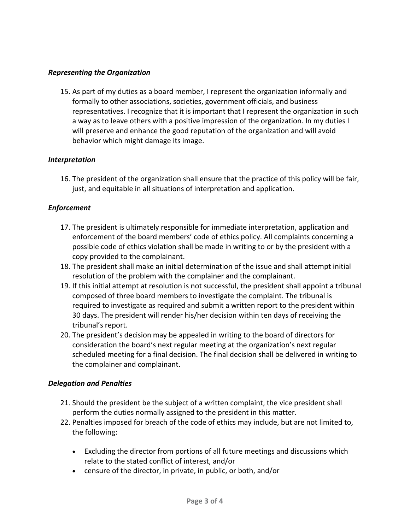#### *Representing the Organization*

15. As part of my duties as a board member, I represent the organization informally and formally to other associations, societies, government officials, and business representatives. I recognize that it is important that I represent the organization in such a way as to leave others with a positive impression of the organization. In my duties I will preserve and enhance the good reputation of the organization and will avoid behavior which might damage its image.

#### *Interpretation*

16. The president of the organization shall ensure that the practice of this policy will be fair, just, and equitable in all situations of interpretation and application.

#### *Enforcement*

- 17. The president is ultimately responsible for immediate interpretation, application and enforcement of the board members' code of ethics policy. All complaints concerning a possible code of ethics violation shall be made in writing to or by the president with a copy provided to the complainant.
- 18. The president shall make an initial determination of the issue and shall attempt initial resolution of the problem with the complainer and the complainant.
- 19. If this initial attempt at resolution is not successful, the president shall appoint a tribunal composed of three board members to investigate the complaint. The tribunal is required to investigate as required and submit a written report to the president within 30 days. The president will render his/her decision within ten days of receiving the tribunal's report.
- 20. The president's decision may be appealed in writing to the board of directors for consideration the board's next regular meeting at the organization's next regular scheduled meeting for a final decision. The final decision shall be delivered in writing to the complainer and complainant.

#### *Delegation and Penalties*

- 21. Should the president be the subject of a written complaint, the vice president shall perform the duties normally assigned to the president in this matter.
- 22. Penalties imposed for breach of the code of ethics may include, but are not limited to, the following:
	- Excluding the director from portions of all future meetings and discussions which relate to the stated conflict of interest, and/or
	- censure of the director, in private, in public, or both, and/or